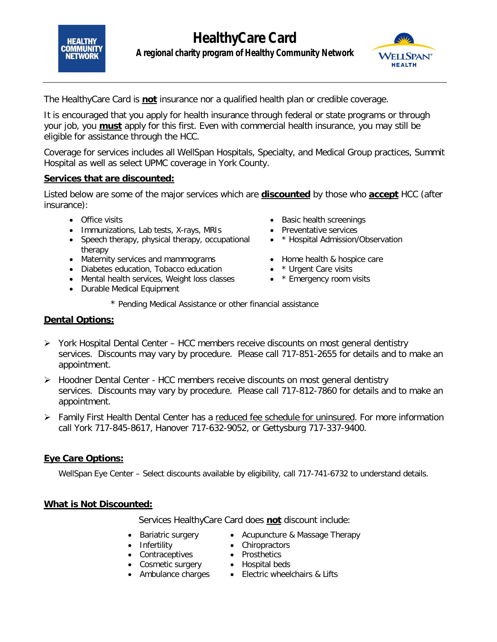



The HealthyCare Card is *not* insurance nor a qualified health plan or credible coverage.

It is encouraged that you apply for health insurance through federal or state programs or through your job, you *must* apply for this first. Even with commercial health insurance, you may still be eligible for assistance through the HCC.

Coverage for services includes all WellSpan Hospitals, Specialty, and Medical Group practices, Summit Hospital as well as select UPMC coverage in York County.

#### **Services that are discounted:**

Listed below are some of the major services which are **discounted** by those who **accept** HCC (after insurance):

- Office visits
- Immunizations, Lab tests, X-rays, MRIs
- Speech therapy, physical therapy, occupational therapy
- Maternity services and mammograms
- Diabetes education, Tobacco education
- Mental health services, Weight loss classes \* Emergency room visits
- Durable Medical Equipment
- Basic health screenings
- Preventative services
- \* Hospital Admission/Observation
- Home health & hospice care
- \* Urgent Care visits
- 
- *\* Pending Medical Assistance or other financial assistance*

#### **Dental Options:**

- York Hospital Dental Center HCC members receive discounts on most general dentistry services. Discounts may vary by procedure. Please call 717-851-2655 for details and to make an appointment.
- $\triangleright$  Hoodner Dental Center HCC members receive discounts on most general dentistry services. Discounts may vary by procedure. Please call 717-812-7860 for details and to make an appointment.
- $\triangleright$  Family First Health Dental Center has a reduced fee schedule for uninsured. For more information call York 717-845-8617, Hanover 717-632-9052, or Gettysburg 717-337-9400.

## **Eye Care Options:**

WellSpan Eye Center – Select discounts available by eligibility, call 717-741-6732 to understand details.

## **What is Not Discounted:**

Services HealthyCare Card does **not** discount include:

- Bariatric surgery Acupuncture & Massage Therapy
- Infertility Chiropractors
- Contraceptives Prosthetics
- Cosmetic surgery Hospital beds
- 
- 
- Ambulance charges Electric wheelchairs & Lifts